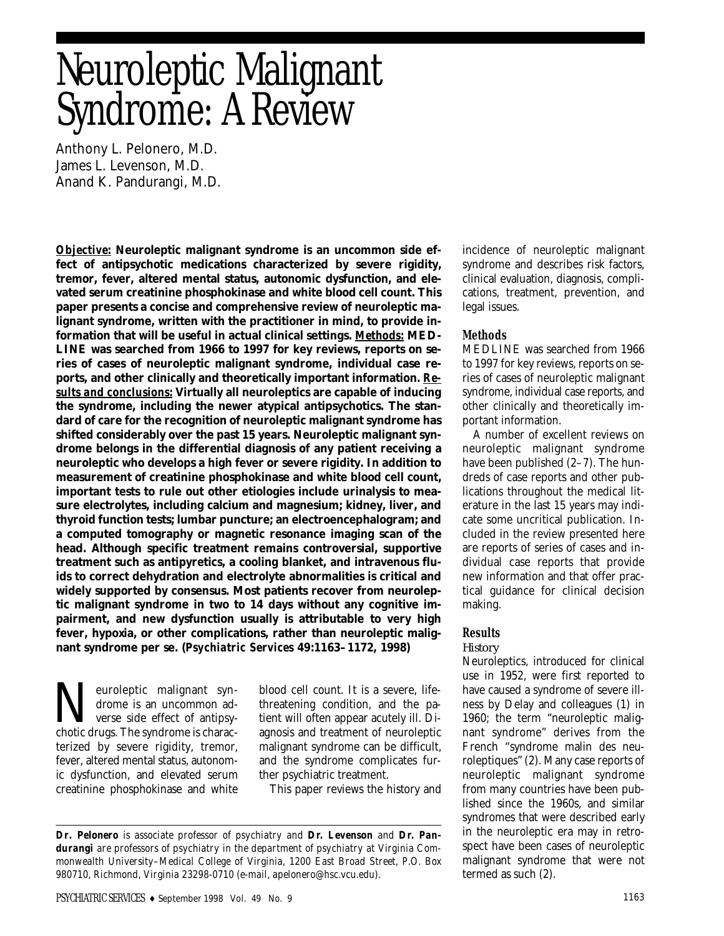# Neuroleptic Malignant Syndrome: A Review

Anthony L. Pelonero, M.D. James L. Levenson, M.D. Anand K. Pandurangi, M.D.

*Objective:* **Neuroleptic malignant syndrome is an uncommon side effect of antipsychotic medications characterized by severe rigidity, tremor, fever, altered mental status, autonomic dysfunction, and elevated serum creatinine phosphokinase and white blood cell count. This paper presents a concise and comprehensive review of neuroleptic malignant syndrome, written with the practitioner in mind, to provide information that will be useful in actual clinical settings.** *Methods:* **MED-LINE was searched from 1966 to 1997 for key reviews, reports on series of cases of neuroleptic malignant syndrome, individual case reports, and other clinically and theoretically important information.** *Results and conclusions:* **Virtually all neuroleptics are capable of inducing the syndrome, including the newer atypical antipsychotics. The standard of care for the recognition of neuroleptic malignant syndrome has shifted considerably over the past 15 years. Neuroleptic malignant syndrome belongs in the differential diagnosis of any patient receiving a neuroleptic who develops a high fever or severe rigidity. In addition to measurement of creatinine phosphokinase and white blood cell count, important tests to rule out other etiologies include urinalysis to measure electrolytes, including calcium and magnesium; kidney, liver, and thyroid function tests; lumbar puncture; an electroencephalogram; and a computed tomography or magnetic resonance imaging scan of the head. Although specific treatment remains controversial, supportive treatment such as antipyretics, a cooling blanket, and intravenous fluids to correct dehydration and electrolyte abnormalities is critical and widely supported by consensus. Most patients recover from neuroleptic malignant syndrome in two to 14 days without any cognitive impairment, and new dysfunction usually is attributable to very high fever, hypoxia, or other complications, rather than neuroleptic malignant syndrome per se. (***Psychiatric Services* **49:1163–1172, 1998)**

Neuroleptic malignant syn-<br>drome is an uncommon ad-<br>chotic drugs. The syndrome is characeuroleptic malignant syndrome is an uncommon adverse side effect of antipsyterized by severe rigidity, tremor, fever, altered mental status, autonomic dysfunction, and elevated serum creatinine phosphokinase and white

blood cell count. It is a severe, lifethreatening condition, and the patient will often appear acutely ill. Diagnosis and treatment of neuroleptic malignant syndrome can be difficult, and the syndrome complicates further psychiatric treatment.

This paper reviews the history and

incidence of neuroleptic malignant syndrome and describes risk factors, clinical evaluation, diagnosis, complications, treatment, prevention, and legal issues.

### **Methods**

MEDLINE was searched from 1966 to 1997 for key reviews, reports on series of cases of neuroleptic malignant syndrome, individual case reports, and other clinically and theoretically important information.

A number of excellent reviews on neuroleptic malignant syndrome have been published  $(2-7)$ . The hundreds of case reports and other publications throughout the medical literature in the last 15 years may indicate some uncritical publication. Included in the review presented here are reports of series of cases and individual case reports that provide new information and that offer practical guidance for clinical decision making.

### **Results**

### *History*

Neuroleptics, introduced for clinical use in 1952, were first reported to have caused a syndrome of severe illness by Delay and colleagues (1) in 1960; the term "neuroleptic malignant syndrome" derives from the French "syndrome malin des neuroleptiques" (2). Many case reports of neuroleptic malignant syndrome from many countries have been published since the 1960s, and similar syndromes that were described early in the neuroleptic era may in retrospect have been cases of neuroleptic malignant syndrome that were not termed as such (2).

*Dr. Pelonero is associate professor of psychiatry and Dr. Levenson and Dr. Pandurangi are professors of psychiatry in the department of psychiatry at Virginia Commonwealth University–Medical College of Virginia, 1200 East Broad Street, P.O. Box 980710, Richmond, Virginia 23298-0710 (e-mail, apelonero@hsc.vcu.edu).*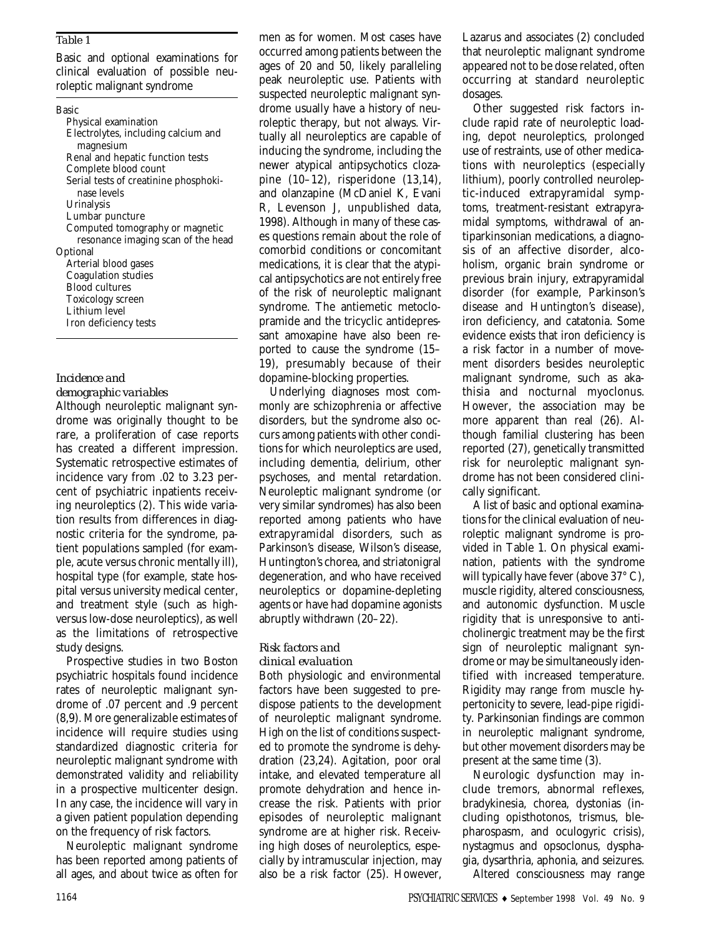#### *Table 1*

Basic and optional examinations for clinical evaluation of possible neuroleptic malignant syndrome

| <b>Basic</b>                          |
|---------------------------------------|
| <b>Physical examination</b>           |
| Electrolytes, including calcium and   |
| magnesium                             |
| Renal and hepatic function tests      |
| Complete blood count                  |
| Serial tests of creatinine phosphoki- |
| nase levels                           |
| <b>Urinalysis</b>                     |
| Lumbar puncture                       |
| Computed tomography or magnetic       |
| resonance imaging scan of the head    |
| Optional                              |
| Arterial blood gases                  |
| <b>Coagulation studies</b>            |
| <b>Blood cultures</b>                 |
| <b>Toxicology screen</b>              |
| <b>Lithium</b> level                  |
| Iron deficiency tests                 |
|                                       |

# *Incidence and*

*demographic variables*

Although neuroleptic malignant syndrome was originally thought to be rare, a proliferation of case reports has created a different impression. Systematic retrospective estimates of incidence vary from .02 to 3.23 percent of psychiatric inpatients receiving neuroleptics (2). This wide variation results from differences in diagnostic criteria for the syndrome, patient populations sampled (for example, acute versus chronic mentally ill), hospital type (for example, state hospital versus university medical center, and treatment style (such as highversus low-dose neuroleptics), as well as the limitations of retrospective study designs.

Prospective studies in two Boston psychiatric hospitals found incidence rates of neuroleptic malignant syndrome of .07 percent and .9 percent (8,9). More generalizable estimates of incidence will require studies using standardized diagnostic criteria for neuroleptic malignant syndrome with demonstrated validity and reliability in a prospective multicenter design. In any case, the incidence will vary in a given patient population depending on the frequency of risk factors.

Neuroleptic malignant syndrome has been reported among patients of all ages, and about twice as often for

men as for women. Most cases have occurred among patients between the ages of 20 and 50, likely paralleling peak neuroleptic use. Patients with suspected neuroleptic malignant syndrome usually have a history of neuroleptic therapy, but not always. Virtually all neuroleptics are capable of inducing the syndrome, including the newer atypical antipsychotics clozapine (10–12), risperidone (13,14), and olanzapine (McDaniel K, Evani R, Levenson J, unpublished data, 1998). Although in many of these cases questions remain about the role of comorbid conditions or concomitant medications, it is clear that the atypical antipsychotics are not entirely free of the risk of neuroleptic malignant syndrome. The antiemetic metoclopramide and the tricyclic antidepressant amoxapine have also been reported to cause the syndrome (15– 19), presumably because of their dopamine-blocking properties.

Underlying diagnoses most commonly are schizophrenia or affective disorders, but the syndrome also occurs among patients with other conditions for which neuroleptics are used, including dementia, delirium, other psychoses, and mental retardation. Neuroleptic malignant syndrome (or very similar syndromes) has also been reported among patients who have extrapyramidal disorders, such as Parkinson's disease, Wilson's disease, Huntington's chorea, and striatonigral degeneration, and who have received neuroleptics or dopamine-depleting agents or have had dopamine agonists abruptly withdrawn (20–22).

### *Risk factors and*

## *clinical evaluation*

Both physiologic and environmental factors have been suggested to predispose patients to the development of neuroleptic malignant syndrome. High on the list of conditions suspected to promote the syndrome is dehydration (23,24). Agitation, poor oral intake, and elevated temperature all promote dehydration and hence increase the risk. Patients with prior episodes of neuroleptic malignant syndrome are at higher risk. Receiving high doses of neuroleptics, especially by intramuscular injection, may also be a risk factor (25). However,

Lazarus and associates (2) concluded that neuroleptic malignant syndrome appeared not to be dose related, often occurring at standard neuroleptic dosages.

Other suggested risk factors include rapid rate of neuroleptic loading, depot neuroleptics, prolonged use of restraints, use of other medications with neuroleptics (especially lithium), poorly controlled neuroleptic-induced extrapyramidal symptoms, treatment-resistant extrapyramidal symptoms, withdrawal of antiparkinsonian medications, a diagnosis of an affective disorder, alcoholism, organic brain syndrome or previous brain injury, extrapyramidal disorder (for example, Parkinson's disease and Huntington's disease), iron deficiency, and catatonia. Some evidence exists that iron deficiency is a risk factor in a number of movement disorders besides neuroleptic malignant syndrome, such as akathisia and nocturnal myoclonus. However, the association may be more apparent than real (26). Although familial clustering has been reported (27), genetically transmitted risk for neuroleptic malignant syndrome has not been considered clinically significant.

A list of basic and optional examinations for the clinical evaluation of neuroleptic malignant syndrome is provided in Table 1. On physical examination, patients with the syndrome will typically have fever (above 37° C), muscle rigidity, altered consciousness, and autonomic dysfunction. Muscle rigidity that is unresponsive to anticholinergic treatment may be the first sign of neuroleptic malignant syndrome or may be simultaneously identified with increased temperature. Rigidity may range from muscle hypertonicity to severe, lead-pipe rigidity. Parkinsonian findings are common in neuroleptic malignant syndrome, but other movement disorders may be present at the same time (3).

Neurologic dysfunction may include tremors, abnormal reflexes, bradykinesia, chorea, dystonias (including opisthotonos, trismus, blepharospasm, and oculogyric crisis), nystagmus and opsoclonus, dysphagia, dysarthria, aphonia, and seizures.

Altered consciousness may range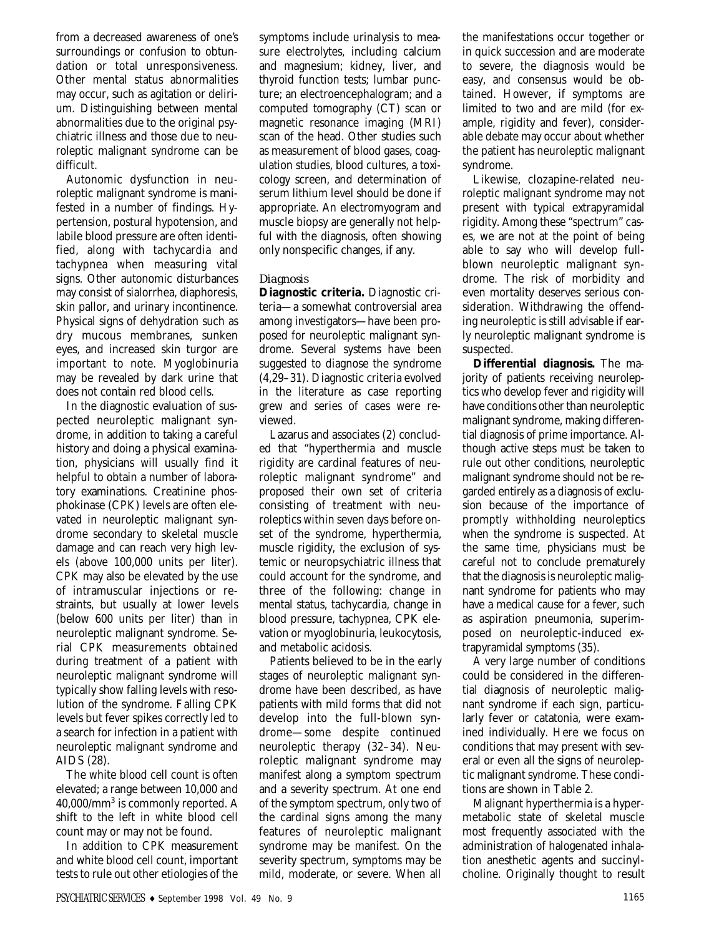from a decreased awareness of one's surroundings or confusion to obtundation or total unresponsiveness. Other mental status abnormalities may occur, such as agitation or delirium. Distinguishing between mental abnormalities due to the original psychiatric illness and those due to neuroleptic malignant syndrome can be difficult.

Autonomic dysfunction in neuroleptic malignant syndrome is manifested in a number of findings. Hypertension, postural hypotension, and labile blood pressure are often identified, along with tachycardia and tachypnea when measuring vital signs. Other autonomic disturbances may consist of sialorrhea, diaphoresis, skin pallor, and urinary incontinence. Physical signs of dehydration such as dry mucous membranes, sunken eyes, and increased skin turgor are important to note. Myoglobinuria may be revealed by dark urine that does not contain red blood cells.

In the diagnostic evaluation of suspected neuroleptic malignant syndrome, in addition to taking a careful history and doing a physical examination, physicians will usually find it helpful to obtain a number of laboratory examinations. Creatinine phosphokinase (CPK) levels are often elevated in neuroleptic malignant syndrome secondary to skeletal muscle damage and can reach very high levels (above 100,000 units per liter). CPK may also be elevated by the use of intramuscular injections or restraints, but usually at lower levels (below 600 units per liter) than in neuroleptic malignant syndrome. Serial CPK measurements obtained during treatment of a patient with neuroleptic malignant syndrome will typically show falling levels with resolution of the syndrome. Falling CPK levels but fever spikes correctly led to a search for infection in a patient with neuroleptic malignant syndrome and AIDS (28).

The white blood cell count is often elevated; a range between 10,000 and  $40,\!000/\mathrm{mm}^3$  is commonly reported. A shift to the left in white blood cell count may or may not be found.

In addition to CPK measurement and white blood cell count, important tests to rule out other etiologies of the symptoms include urinalysis to measure electrolytes, including calcium and magnesium; kidney, liver, and thyroid function tests; lumbar puncture; an electroencephalogram; and a computed tomography (CT) scan or magnetic resonance imaging (MRI) scan of the head. Other studies such as measurement of blood gases, coagulation studies, blood cultures, a toxicology screen, and determination of serum lithium level should be done if appropriate. An electromyogram and muscle biopsy are generally not helpful with the diagnosis, often showing only nonspecific changes, if any.

# *Diagnosis*

**Diagnostic criteria.** Diagnostic criteria— a somewhat controversial area among investigators— have been proposed for neuroleptic malignant syndrome. Several systems have been suggested to diagnose the syndrome (4,29–31). Diagnostic criteria evolved in the literature as case reporting grew and series of cases were reviewed.

Lazarus and associates (2) concluded that "hyperthermia and muscle rigidity are cardinal features of neuroleptic malignant syndrome" and proposed their own set of criteria consisting of treatment with neuroleptics within seven days before onset of the syndrome, hyperthermia, muscle rigidity, the exclusion of systemic or neuropsychiatric illness that could account for the syndrome, and three of the following: change in mental status, tachycardia, change in blood pressure, tachypnea, CPK elevation or myoglobinuria, leukocytosis, and metabolic acidosis.

Patients believed to be in the early stages of neuroleptic malignant syndrome have been described, as have patients with mild forms that did not develop into the full-blown syndrome— some despite continued neuroleptic therapy (32–34). Neuroleptic malignant syndrome may manifest along a symptom spectrum and a severity spectrum. At one end of the symptom spectrum, only two of the cardinal signs among the many features of neuroleptic malignant syndrome may be manifest. On the severity spectrum, symptoms may be mild, moderate, or severe. When all

the manifestations occur together or in quick succession and are moderate to severe, the diagnosis would be easy, and consensus would be obtained. However, if symptoms are limited to two and are mild (for example, rigidity and fever), considerable debate may occur about whether the patient has neuroleptic malignant syndrome.

Likewise, clozapine-related neuroleptic malignant syndrome may not present with typical extrapyramidal rigidity. Among these "spectrum" cases, we are not at the point of being able to say who will develop fullblown neuroleptic malignant syndrome. The risk of morbidity and even mortality deserves serious consideration. Withdrawing the offending neuroleptic is still advisable if early neuroleptic malignant syndrome is suspected.

**Differential diagnosis.** The majority of patients receiving neuroleptics who develop fever and rigidity will have conditions other than neuroleptic malignant syndrome, making differential diagnosis of prime importance. Although active steps must be taken to rule out other conditions, neuroleptic malignant syndrome should not be regarded entirely as a diagnosis of exclusion because of the importance of promptly withholding neuroleptics when the syndrome is suspected. At the same time, physicians must be careful not to conclude prematurely that the diagnosis is neuroleptic malignant syndrome for patients who may have a medical cause for a fever, such as aspiration pneumonia, superimposed on neuroleptic-induced extrapyramidal symptoms (35).

A very large number of conditions could be considered in the differential diagnosis of neuroleptic malignant syndrome if each sign, particularly fever or catatonia, were examined individually. Here we focus on conditions that may present with several or even all the signs of neuroleptic malignant syndrome. These conditions are shown in Table 2.

Malignant hyperthermia is a hypermetabolic state of skeletal muscle most frequently associated with the administration of halogenated inhalation anesthetic agents and succinylcholine. Originally thought to result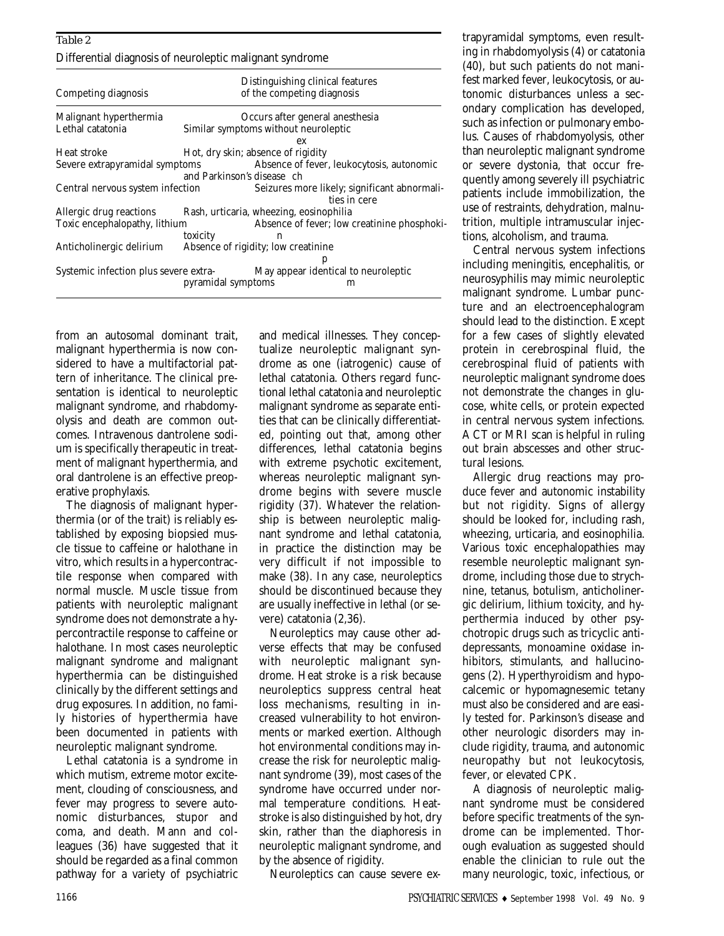| Table 2                                                  |                                                                                                        |  |
|----------------------------------------------------------|--------------------------------------------------------------------------------------------------------|--|
| Differential diagnosis of neuroleptic malignant syndrome |                                                                                                        |  |
| <b>Competing diagnosis</b>                               | Distinguishing clinical features<br>of the competing diagnosis                                         |  |
| Malignant hyperthermia                                   | Occurs after general anesthesia                                                                        |  |
| Lethal catatonia                                         | Similar symptoms without neuroleptic<br>ex                                                             |  |
| Heat stroke                                              | Hot, dry skin; absence of rigidity                                                                     |  |
|                                                          | Severe extrapyramidal symptoms Absence of fever, leukocytosis, autonomic<br>and Parkinson's disease ch |  |
| Central nervous system infection                         | Seizures more likely; significant abnormali-<br>ties in cere                                           |  |
| Allergic drug reactions                                  | Rash, urticaria, wheezing, eosinophilia                                                                |  |
| Toxic encephalopathy, lithium                            | Absence of fever; low creatinine phosphoki-<br>toxicity<br>n                                           |  |
| Anticholinergic delirium                                 | Absence of rigidity; low creatinine                                                                    |  |
| Systemic infection plus severe extra-                    | May appear identical to neuroleptic<br>pyramidal symptoms<br>m                                         |  |

from an autosomal dominant trait, malignant hyperthermia is now considered to have a multifactorial pattern of inheritance. The clinical presentation is identical to neuroleptic malignant syndrome, and rhabdomyolysis and death are common outcomes. Intravenous dantrolene sodium is specifically therapeutic in treatment of malignant hyperthermia, and oral dantrolene is an effective preoperative prophylaxis.

The diagnosis of malignant hyperthermia (or of the trait) is reliably established by exposing biopsied muscle tissue to caffeine or halothane in vitro, which results in a hypercontractile response when compared with normal muscle. Muscle tissue from patients with neuroleptic malignant syndrome does not demonstrate a hypercontractile response to caffeine or halothane. In most cases neuroleptic malignant syndrome and malignant hyperthermia can be distinguished clinically by the different settings and drug exposures. In addition, no family histories of hyperthermia have been documented in patients with neuroleptic malignant syndrome.

Lethal catatonia is a syndrome in which mutism, extreme motor excitement, clouding of consciousness, and fever may progress to severe autonomic disturbances, stupor and coma, and death. Mann and colleagues (36) have suggested that it should be regarded as a final common pathway for a variety of psychiatric

and medical illnesses. They conceptualize neuroleptic malignant syndrome as one (iatrogenic) cause of lethal catatonia. Others regard functional lethal catatonia and neuroleptic malignant syndrome as separate entities that can be clinically differentiated, pointing out that, among other differences, lethal catatonia begins with extreme psychotic excitement, whereas neuroleptic malignant syndrome begins with severe muscle rigidity (37). Whatever the relationship is between neuroleptic malignant syndrome and lethal catatonia, in practice the distinction may be very difficult if not impossible to make (38). In any case, neuroleptics should be discontinued because they are usually ineffective in lethal (or severe) catatonia (2,36).

Neuroleptics may cause other adverse effects that may be confused with neuroleptic malignant syndrome. Heat stroke is a risk because neuroleptics suppress central heat loss mechanisms, resulting in increased vulnerability to hot environments or marked exertion. Although hot environmental conditions may increase the risk for neuroleptic malignant syndrome (39), most cases of the syndrome have occurred under normal temperature conditions. Heatstroke is also distinguished by hot, dry skin, rather than the diaphoresis in neuroleptic malignant syndrome, and by the absence of rigidity.

Neuroleptics can cause severe ex-

trapyramidal symptoms, even resulting in rhabdomyolysis (4) or catatonia (40), but such patients do not manifest marked fever, leukocytosis, or autonomic disturbances unless a secondary complication has developed, such as infection or pulmonary embolus. Causes of rhabdomyolysis, other than neuroleptic malignant syndrome or severe dystonia, that occur frequently among severely ill psychiatric patients include immobilization, the use of restraints, dehydration, malnutrition, multiple intramuscular injections, alcoholism, and trauma.

Central nervous system infections including meningitis, encephalitis, or neurosyphilis may mimic neuroleptic malignant syndrome. Lumbar puncture and an electroencephalogram should lead to the distinction. Except for a few cases of slightly elevated protein in cerebrospinal fluid, the cerebrospinal fluid of patients with neuroleptic malignant syndrome does not demonstrate the changes in glucose, white cells, or protein expected in central nervous system infections. A CT or MRI scan is helpful in ruling out brain abscesses and other structural lesions.

Allergic drug reactions may produce fever and autonomic instability but not rigidity. Signs of allergy should be looked for, including rash, wheezing, urticaria, and eosinophilia. Various toxic encephalopathies may resemble neuroleptic malignant syndrome, including those due to strychnine, tetanus, botulism, anticholinergic delirium, lithium toxicity, and hyperthermia induced by other psychotropic drugs such as tricyclic antidepressants, monoamine oxidase inhibitors, stimulants, and hallucinogens (2). Hyperthyroidism and hypocalcemic or hypomagnesemic tetany must also be considered and are easily tested for. Parkinson's disease and other neurologic disorders may include rigidity, trauma, and autonomic neuropathy but not leukocytosis, fever, or elevated CPK.

A diagnosis of neuroleptic malignant syndrome must be considered before specific treatments of the syndrome can be implemented. Thorough evaluation as suggested should enable the clinician to rule out the many neurologic, toxic, infectious, or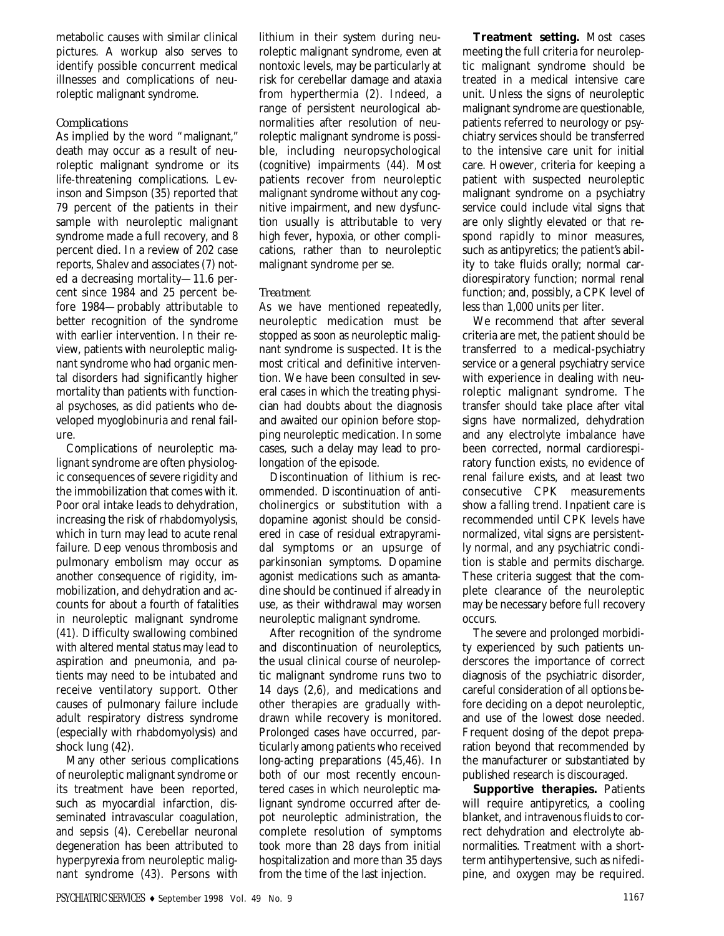metabolic causes with similar clinical pictures. A workup also serves to identify possible concurrent medical illnesses and complications of neuroleptic malignant syndrome.

# *Complications*

As implied by the word "malignant," death may occur as a result of neuroleptic malignant syndrome or its life-threatening complications. Levinson and Simpson (35) reported that 79 percent of the patients in their sample with neuroleptic malignant syndrome made a full recovery, and 8 percent died. In a review of 202 case reports, Shalev and associates (7) noted a decreasing mortality— 11.6 percent since 1984 and 25 percent before 1984— probably attributable to better recognition of the syndrome with earlier intervention. In their review, patients with neuroleptic malignant syndrome who had organic mental disorders had significantly higher mortality than patients with functional psychoses, as did patients who developed myoglobinuria and renal failure.

Complications of neuroleptic malignant syndrome are often physiologic consequences of severe rigidity and the immobilization that comes with it. Poor oral intake leads to dehydration, increasing the risk of rhabdomyolysis, which in turn may lead to acute renal failure. Deep venous thrombosis and pulmonary embolism may occur as another consequence of rigidity, immobilization, and dehydration and accounts for about a fourth of fatalities in neuroleptic malignant syndrome (41). Difficulty swallowing combined with altered mental status may lead to aspiration and pneumonia, and patients may need to be intubated and receive ventilatory support. Other causes of pulmonary failure include adult respiratory distress syndrome (especially with rhabdomyolysis) and shock lung (42).

Many other serious complications of neuroleptic malignant syndrome or its treatment have been reported, such as myocardial infarction, disseminated intravascular coagulation, and sepsis (4). Cerebellar neuronal degeneration has been attributed to hyperpyrexia from neuroleptic malignant syndrome (43). Persons with

lithium in their system during neuroleptic malignant syndrome, even at nontoxic levels, may be particularly at risk for cerebellar damage and ataxia from hyperthermia (2). Indeed, a range of persistent neurological abnormalities after resolution of neuroleptic malignant syndrome is possible, including neuropsychological (cognitive) impairments (44). Most patients recover from neuroleptic malignant syndrome without any cognitive impairment, and new dysfunction usually is attributable to very high fever, hypoxia, or other complications, rather than to neuroleptic malignant syndrome per se.

# *Treatment*

As we have mentioned repeatedly, neuroleptic medication must be stopped as soon as neuroleptic malignant syndrome is suspected. It is the most critical and definitive intervention. We have been consulted in several cases in which the treating physician had doubts about the diagnosis and awaited our opinion before stopping neuroleptic medication. In some cases, such a delay may lead to prolongation of the episode.

Discontinuation of lithium is recommended. Discontinuation of anticholinergics or substitution with a dopamine agonist should be considered in case of residual extrapyramidal symptoms or an upsurge of parkinsonian symptoms. Dopamine agonist medications such as amantadine should be continued if already in use, as their withdrawal may worsen neuroleptic malignant syndrome.

After recognition of the syndrome and discontinuation of neuroleptics, the usual clinical course of neuroleptic malignant syndrome runs two to 14 days (2,6), and medications and other therapies are gradually withdrawn while recovery is monitored. Prolonged cases have occurred, particularly among patients who received long-acting preparations (45,46). In both of our most recently encountered cases in which neuroleptic malignant syndrome occurred after depot neuroleptic administration, the complete resolution of symptoms took more than 28 days from initial hospitalization and more than 35 days from the time of the last injection.

**Treatment setting.** Most cases meeting the full criteria for neuroleptic malignant syndrome should be treated in a medical intensive care unit. Unless the signs of neuroleptic malignant syndrome are questionable, patients referred to neurology or psychiatry services should be transferred to the intensive care unit for initial care. However, criteria for keeping a patient with suspected neuroleptic malignant syndrome on a psychiatry service could include vital signs that are only slightly elevated or that respond rapidly to minor measures, such as antipyretics; the patient's ability to take fluids orally; normal cardiorespiratory function; normal renal function; and, possibly, a CPK level of less than 1,000 units per liter.

We recommend that after several criteria are met, the patient should be transferred to a medical-psychiatry service or a general psychiatry service with experience in dealing with neuroleptic malignant syndrome. The transfer should take place after vital signs have normalized, dehydration and any electrolyte imbalance have been corrected, normal cardiorespiratory function exists, no evidence of renal failure exists, and at least two consecutive CPK measurements show a falling trend. Inpatient care is recommended until CPK levels have normalized, vital signs are persistently normal, and any psychiatric condition is stable and permits discharge. These criteria suggest that the complete clearance of the neuroleptic may be necessary before full recovery occurs.

The severe and prolonged morbidity experienced by such patients underscores the importance of correct diagnosis of the psychiatric disorder, careful consideration of all options before deciding on a depot neuroleptic, and use of the lowest dose needed. Frequent dosing of the depot preparation beyond that recommended by the manufacturer or substantiated by published research is discouraged.

**Supportive therapies.** Patients will require antipyretics, a cooling blanket, and intravenous fluids to correct dehydration and electrolyte abnormalities. Treatment with a shortterm antihypertensive, such as nifedipine, and oxygen may be required.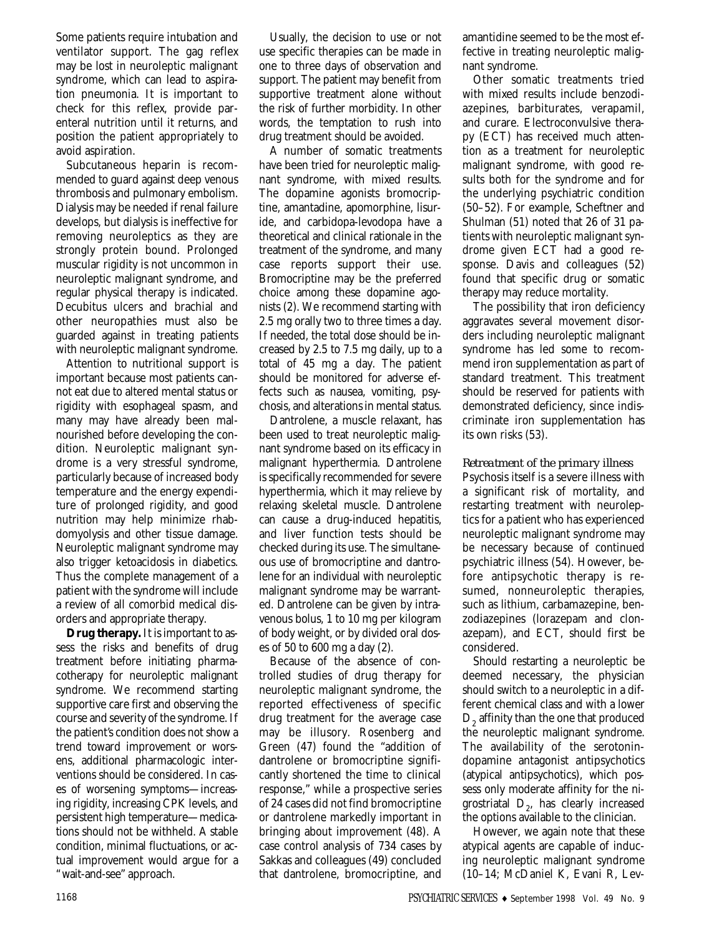Some patients require intubation and ventilator support. The gag reflex may be lost in neuroleptic malignant syndrome, which can lead to aspiration pneumonia. It is important to check for this reflex, provide parenteral nutrition until it returns, and position the patient appropriately to avoid aspiration.

Subcutaneous heparin is recommended to guard against deep venous thrombosis and pulmonary embolism. Dialysis may be needed if renal failure develops, but dialysis is ineffective for removing neuroleptics as they are strongly protein bound. Prolonged muscular rigidity is not uncommon in neuroleptic malignant syndrome, and regular physical therapy is indicated. Decubitus ulcers and brachial and other neuropathies must also be guarded against in treating patients with neuroleptic malignant syndrome.

Attention to nutritional support is important because most patients cannot eat due to altered mental status or rigidity with esophageal spasm, and many may have already been malnourished before developing the condition. Neuroleptic malignant syndrome is a very stressful syndrome, particularly because of increased body temperature and the energy expenditure of prolonged rigidity, and good nutrition may help minimize rhabdomyolysis and other tissue damage. Neuroleptic malignant syndrome may also trigger ketoacidosis in diabetics. Thus the complete management of a patient with the syndrome will include a review of all comorbid medical disorders and appropriate therapy.

**Drug therapy.**It is important to assess the risks and benefits of drug treatment before initiating pharmacotherapy for neuroleptic malignant syndrome. We recommend starting supportive care first and observing the course and severity of the syndrome. If the patient's condition does not show a trend toward improvement or worsens, additional pharmacologic interventions should be considered. In cases of worsening symptoms— increasing rigidity, increasing CPK levels, and persistent high temperature— medications should not be withheld. A stable condition, minimal fluctuations, or actual improvement would argue for a "wait-and-see" approach.

Usually, the decision to use or not use specific therapies can be made in one to three days of observation and support. The patient may benefit from supportive treatment alone without the risk of further morbidity. In other words, the temptation to rush into drug treatment should be avoided.

A number of somatic treatments have been tried for neuroleptic malignant syndrome, with mixed results. The dopamine agonists bromocriptine, amantadine, apomorphine, lisuride, and carbidopa-levodopa have a theoretical and clinical rationale in the treatment of the syndrome, and many case reports support their use. Bromocriptine may be the preferred choice among these dopamine agonists (2). We recommend starting with 2.5 mg orally two to three times a day. If needed, the total dose should be increased by 2.5 to 7.5 mg daily, up to a total of 45 mg a day. The patient should be monitored for adverse effects such as nausea, vomiting, psychosis, and alterations in mental status.

Dantrolene, a muscle relaxant, has been used to treat neuroleptic malignant syndrome based on its efficacy in malignant hyperthermia. Dantrolene is specifically recommended for severe hyperthermia, which it may relieve by relaxing skeletal muscle. Dantrolene can cause a drug-induced hepatitis, and liver function tests should be checked during its use. The simultaneous use of bromocriptine and dantrolene for an individual with neuroleptic malignant syndrome may be warranted. Dantrolene can be given by intravenous bolus, 1 to 10 mg per kilogram of body weight, or by divided oral doses of 50 to 600 mg a day (2).

Because of the absence of controlled studies of drug therapy for neuroleptic malignant syndrome, the reported effectiveness of specific drug treatment for the average case may be illusory. Rosenberg and Green (47) found the "addition of dantrolene or bromocriptine significantly shortened the time to clinical response," while a prospective series of 24 cases did not find bromocriptine or dantrolene markedly important in bringing about improvement (48). A case control analysis of 734 cases by Sakkas and colleagues (49) concluded that dantrolene, bromocriptine, and

amantidine seemed to be the most effective in treating neuroleptic malignant syndrome.

Other somatic treatments tried with mixed results include benzodiazepines, barbiturates, verapamil, and curare. Electroconvulsive therapy (ECT) has received much attention as a treatment for neuroleptic malignant syndrome, with good results both for the syndrome and for the underlying psychiatric condition (50–52). For example, Scheftner and Shulman (51) noted that 26 of 31 patients with neuroleptic malignant syndrome given ECT had a good response. Davis and colleagues (52) found that specific drug or somatic therapy may reduce mortality.

The possibility that iron deficiency aggravates several movement disorders including neuroleptic malignant syndrome has led some to recommend iron supplementation as part of standard treatment. This treatment should be reserved for patients with demonstrated deficiency, since indiscriminate iron supplementation has its own risks (53).

# *Retreatment of the primary illness*

Psychosis itself is a severe illness with a significant risk of mortality, and restarting treatment with neuroleptics for a patient who has experienced neuroleptic malignant syndrome may be necessary because of continued psychiatric illness (54). However, before antipsychotic therapy is resumed, nonneuroleptic therapies, such as lithium, carbamazepine, benzodiazepines (lorazepam and clonazepam), and ECT, should first be considered.

Should restarting a neuroleptic be deemed necessary, the physician should switch to a neuroleptic in a different chemical class and with a lower  ${\rm D}_{\rm z}$  affinity than the one that produced the neuroleptic malignant syndrome. The availability of the serotonindopamine antagonist antipsychotics (atypical antipsychotics), which possess only moderate affinity for the nigrostriatal  $D_2$ , has clearly increased the options available to the clinician.

However, we again note that these atypical agents are capable of inducing neuroleptic malignant syndrome (10–14; McDaniel K, Evani R, Lev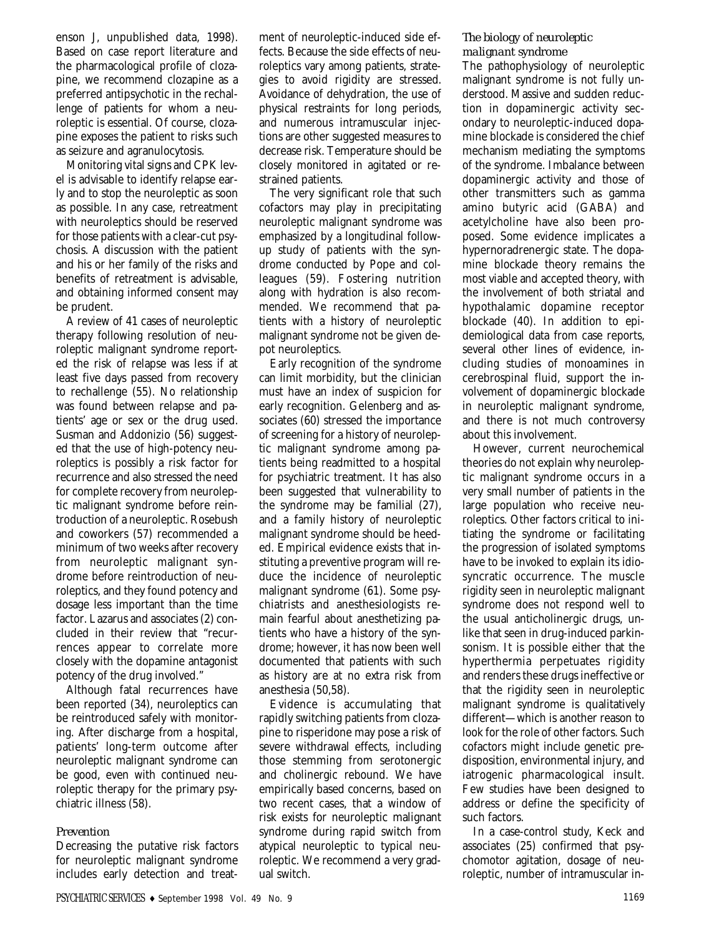enson J, unpublished data, 1998). Based on case report literature and the pharmacological profile of clozapine, we recommend clozapine as a preferred antipsychotic in the rechallenge of patients for whom a neuroleptic is essential. Of course, clozapine exposes the patient to risks such as seizure and agranulocytosis.

Monitoring vital signs and CPK level is advisable to identify relapse early and to stop the neuroleptic as soon as possible. In any case, retreatment with neuroleptics should be reserved for those patients with a clear-cut psychosis. A discussion with the patient and his or her family of the risks and benefits of retreatment is advisable, and obtaining informed consent may be prudent.

A review of 41 cases of neuroleptic therapy following resolution of neuroleptic malignant syndrome reported the risk of relapse was less if at least five days passed from recovery to rechallenge (55). No relationship was found between relapse and patients' age or sex or the drug used. Susman and Addonizio (56) suggested that the use of high-potency neuroleptics is possibly a risk factor for recurrence and also stressed the need for complete recovery from neuroleptic malignant syndrome before reintroduction of a neuroleptic. Rosebush and coworkers (57) recommended a minimum of two weeks after recovery from neuroleptic malignant syndrome before reintroduction of neuroleptics, and they found potency and dosage less important than the time factor. Lazarus and associates (2) concluded in their review that "recurrences appear to correlate more closely with the dopamine antagonist potency of the drug involved."

Although fatal recurrences have been reported (34), neuroleptics can be reintroduced safely with monitoring. After discharge from a hospital, patients' long-term outcome after neuroleptic malignant syndrome can be good, even with continued neuroleptic therapy for the primary psychiatric illness (58).

### *Prevention*

Decreasing the putative risk factors for neuroleptic malignant syndrome includes early detection and treatment of neuroleptic-induced side effects. Because the side effects of neuroleptics vary among patients, strategies to avoid rigidity are stressed. Avoidance of dehydration, the use of physical restraints for long periods, and numerous intramuscular injections are other suggested measures to decrease risk. Temperature should be closely monitored in agitated or restrained patients.

The very significant role that such cofactors may play in precipitating neuroleptic malignant syndrome was emphasized by a longitudinal followup study of patients with the syndrome conducted by Pope and colleagues (59). Fostering nutrition along with hydration is also recommended. We recommend that patients with a history of neuroleptic malignant syndrome not be given depot neuroleptics.

Early recognition of the syndrome can limit morbidity, but the clinician must have an index of suspicion for early recognition. Gelenberg and associates (60) stressed the importance of screening for a history of neuroleptic malignant syndrome among patients being readmitted to a hospital for psychiatric treatment. It has also been suggested that vulnerability to the syndrome may be familial (27), and a family history of neuroleptic malignant syndrome should be heeded. Empirical evidence exists that instituting a preventive program will reduce the incidence of neuroleptic malignant syndrome (61). Some psychiatrists and anesthesiologists remain fearful about anesthetizing patients who have a history of the syndrome; however, it has now been well documented that patients with such as history are at no extra risk from anesthesia (50,58).

Evidence is accumulating that rapidly switching patients from clozapine to risperidone may pose a risk of severe withdrawal effects, including those stemming from serotonergic and cholinergic rebound. We have empirically based concerns, based on two recent cases, that a window of risk exists for neuroleptic malignant syndrome during rapid switch from atypical neuroleptic to typical neuroleptic. We recommend a very gradual switch.

# *The biology of neuroleptic malignant syndrome*

The pathophysiology of neuroleptic malignant syndrome is not fully understood. Massive and sudden reduction in dopaminergic activity secondary to neuroleptic-induced dopamine blockade is considered the chief mechanism mediating the symptoms of the syndrome. Imbalance between dopaminergic activity and those of other transmitters such as gamma amino butyric acid (GABA) and acetylcholine have also been proposed. Some evidence implicates a hypernoradrenergic state. The dopamine blockade theory remains the most viable and accepted theory, with the involvement of both striatal and hypothalamic dopamine receptor blockade (40). In addition to epidemiological data from case reports, several other lines of evidence, including studies of monoamines in cerebrospinal fluid, support the involvement of dopaminergic blockade in neuroleptic malignant syndrome, and there is not much controversy about this involvement.

However, current neurochemical theories do not explain why neuroleptic malignant syndrome occurs in a very small number of patients in the large population who receive neuroleptics. Other factors critical to initiating the syndrome or facilitating the progression of isolated symptoms have to be invoked to explain its idiosyncratic occurrence. The muscle rigidity seen in neuroleptic malignant syndrome does not respond well to the usual anticholinergic drugs, unlike that seen in drug-induced parkinsonism. It is possible either that the hyperthermia perpetuates rigidity and renders these drugs ineffective or that the rigidity seen in neuroleptic malignant syndrome is qualitatively different— which is another reason to look for the role of other factors. Such cofactors might include genetic predisposition, environmental injury, and iatrogenic pharmacological insult. Few studies have been designed to address or define the specificity of such factors.

In a case-control study, Keck and associates (25) confirmed that psychomotor agitation, dosage of neuroleptic, number of intramuscular in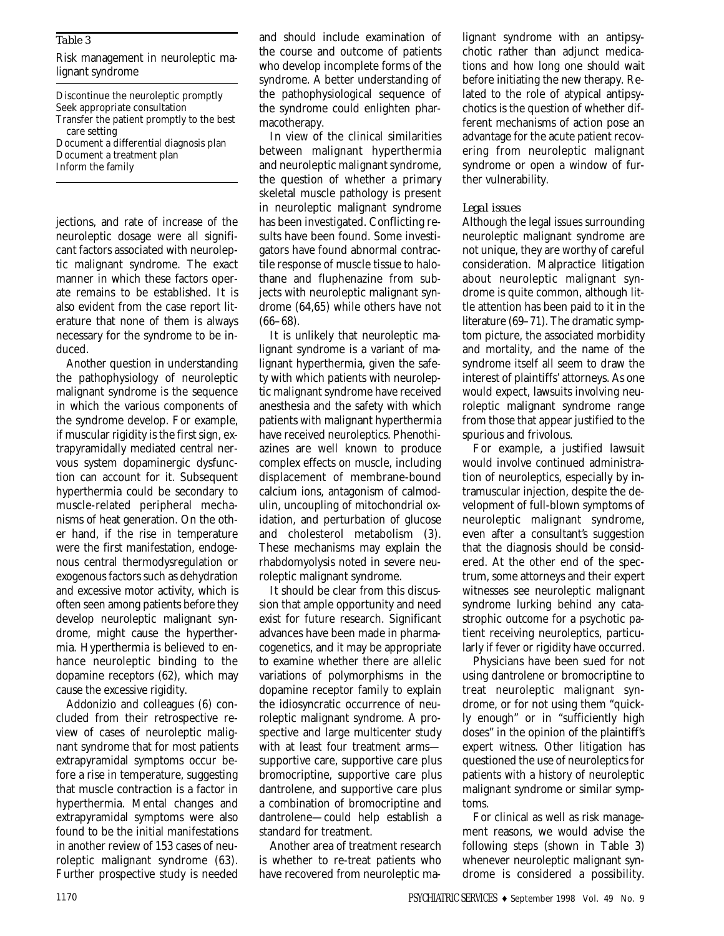*Table 3*

# Risk management in neuroleptic malignant syndrome

Discontinue the neuroleptic promptly Seek appropriate consultation Transfer the patient promptly to the best care setting Document a differential diagnosis plan Document a treatment plan

Inform the family

jections, and rate of increase of the neuroleptic dosage were all significant factors associated with neuroleptic malignant syndrome. The exact manner in which these factors operate remains to be established. It is also evident from the case report literature that none of them is always necessary for the syndrome to be induced.

Another question in understanding the pathophysiology of neuroleptic malignant syndrome is the sequence in which the various components of the syndrome develop. For example, if muscular rigidity is the first sign, extrapyramidally mediated central nervous system dopaminergic dysfunction can account for it. Subsequent hyperthermia could be secondary to muscle-related peripheral mechanisms of heat generation. On the other hand, if the rise in temperature were the first manifestation, endogenous central thermodysregulation or exogenous factors such as dehydration and excessive motor activity, which is often seen among patients before they develop neuroleptic malignant syndrome, might cause the hyperthermia. Hyperthermia is believed to enhance neuroleptic binding to the dopamine receptors (62), which may cause the excessive rigidity.

Addonizio and colleagues (6) concluded from their retrospective review of cases of neuroleptic malignant syndrome that for most patients extrapyramidal symptoms occur before a rise in temperature, suggesting that muscle contraction is a factor in hyperthermia. Mental changes and extrapyramidal symptoms were also found to be the initial manifestations in another review of 153 cases of neuroleptic malignant syndrome (63). Further prospective study is needed

and should include examination of the course and outcome of patients who develop incomplete forms of the syndrome. A better understanding of the pathophysiological sequence of the syndrome could enlighten pharmacotherapy.

In view of the clinical similarities between malignant hyperthermia and neuroleptic malignant syndrome, the question of whether a primary skeletal muscle pathology is present in neuroleptic malignant syndrome has been investigated. Conflicting results have been found. Some investigators have found abnormal contractile response of muscle tissue to halothane and fluphenazine from subjects with neuroleptic malignant syndrome (64,65) while others have not  $(66-68)$ .

It is unlikely that neuroleptic malignant syndrome is a variant of malignant hyperthermia, given the safety with which patients with neuroleptic malignant syndrome have received anesthesia and the safety with which patients with malignant hyperthermia have received neuroleptics. Phenothiazines are well known to produce complex effects on muscle, including displacement of membrane-bound calcium ions, antagonism of calmodulin, uncoupling of mitochondrial oxidation, and perturbation of glucose and cholesterol metabolism (3). These mechanisms may explain the rhabdomyolysis noted in severe neuroleptic malignant syndrome.

It should be clear from this discussion that ample opportunity and need exist for future research. Significant advances have been made in pharmacogenetics, and it may be appropriate to examine whether there are allelic variations of polymorphisms in the dopamine receptor family to explain the idiosyncratic occurrence of neuroleptic malignant syndrome. A prospective and large multicenter study with at least four treatment arms supportive care, supportive care plus bromocriptine, supportive care plus dantrolene, and supportive care plus a combination of bromocriptine and dantrolene— could help establish a standard for treatment.

Another area of treatment research is whether to re-treat patients who have recovered from neuroleptic malignant syndrome with an antipsychotic rather than adjunct medications and how long one should wait before initiating the new therapy. Related to the role of atypical antipsychotics is the question of whether different mechanisms of action pose an advantage for the acute patient recovering from neuroleptic malignant syndrome or open a window of further vulnerability.

## *Legal issues*

Although the legal issues surrounding neuroleptic malignant syndrome are not unique, they are worthy of careful consideration. Malpractice litigation about neuroleptic malignant syndrome is quite common, although little attention has been paid to it in the literature (69–71). The dramatic symptom picture, the associated morbidity and mortality, and the name of the syndrome itself all seem to draw the interest of plaintiffs' attorneys. As one would expect, lawsuits involving neuroleptic malignant syndrome range from those that appear justified to the spurious and frivolous.

For example, a justified lawsuit would involve continued administration of neuroleptics, especially by intramuscular injection, despite the development of full-blown symptoms of neuroleptic malignant syndrome, even after a consultant's suggestion that the diagnosis should be considered. At the other end of the spectrum, some attorneys and their expert witnesses see neuroleptic malignant syndrome lurking behind any catastrophic outcome for a psychotic patient receiving neuroleptics, particularly if fever or rigidity have occurred.

Physicians have been sued for not using dantrolene or bromocriptine to treat neuroleptic malignant syndrome, or for not using them "quickly enough" or in "sufficiently high doses" in the opinion of the plaintiff's expert witness. Other litigation has questioned the use of neuroleptics for patients with a history of neuroleptic malignant syndrome or similar symptoms.

For clinical as well as risk management reasons, we would advise the following steps (shown in Table 3) whenever neuroleptic malignant syndrome is considered a possibility.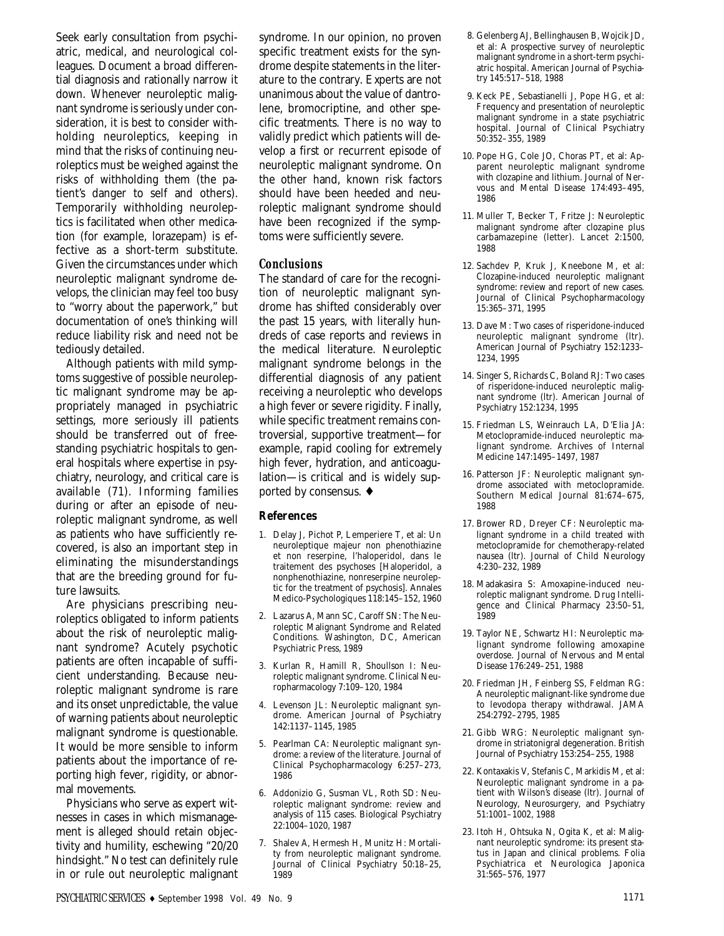Seek early consultation from psychiatric, medical, and neurological colleagues. Document a broad differential diagnosis and rationally narrow it down. Whenever neuroleptic malignant syndrome is seriously under consideration, it is best to consider withholding neuroleptics, keeping in mind that the risks of continuing neuroleptics must be weighed against the risks of withholding them (the patient's danger to self and others). Temporarily withholding neuroleptics is facilitated when other medication (for example, lorazepam) is effective as a short-term substitute. Given the circumstances under which neuroleptic malignant syndrome develops, the clinician may feel too busy to "worry about the paperwork," but documentation of one's thinking will reduce liability risk and need not be tediously detailed.

Although patients with mild symptoms suggestive of possible neuroleptic malignant syndrome may be appropriately managed in psychiatric settings, more seriously ill patients should be transferred out of freestanding psychiatric hospitals to general hospitals where expertise in psychiatry, neurology, and critical care is available (71). Informing families during or after an episode of neuroleptic malignant syndrome, as well as patients who have sufficiently recovered, is also an important step in eliminating the misunderstandings that are the breeding ground for future lawsuits.

Are physicians prescribing neuroleptics obligated to inform patients about the risk of neuroleptic malignant syndrome? Acutely psychotic patients are often incapable of sufficient understanding. Because neuroleptic malignant syndrome is rare and its onset unpredictable, the value of warning patients about neuroleptic malignant syndrome is questionable. It would be more sensible to inform patients about the importance of reporting high fever, rigidity, or abnormal movements.

Physicians who serve as expert witnesses in cases in which mismanagement is alleged should retain objectivity and humility, eschewing "20/20 hindsight." No test can definitely rule in or rule out neuroleptic malignant syndrome. In our opinion, no proven specific treatment exists for the syndrome despite statements in the literature to the contrary. Experts are not unanimous about the value of dantrolene, bromocriptine, and other specific treatments. There is no way to validly predict which patients will develop a first or recurrent episode of neuroleptic malignant syndrome. On the other hand, known risk factors should have been heeded and neuroleptic malignant syndrome should have been recognized if the symptoms were sufficiently severe.

## **Conclusions**

The standard of care for the recognition of neuroleptic malignant syndrome has shifted considerably over the past 15 years, with literally hundreds of case reports and reviews in the medical literature. Neuroleptic malignant syndrome belongs in the differential diagnosis of any patient receiving a neuroleptic who develops a high fever or severe rigidity. Finally, while specific treatment remains controversial, supportive treatment— for example, rapid cooling for extremely high fever, hydration, and anticoagulation— is critical and is widely supported by consensus. ♦

### *References*

- 1. Delay J, Pichot P, Lemperiere T, et al: Un neuroleptique majeur non phenothiazine et non reserpine, l'haloperidol, dans le traitement des psychoses [Haloperidol, a nonphenothiazine, nonreserpine neuroleptic for the treatment of psychosis]. Annales Medico-Psychologiques 118:145–152, 1960
- 2. Lazarus A, Mann SC, Caroff SN: The Neuroleptic Malignant Syndrome and Related Conditions. Washington, DC, American Psychiatric Press, 1989
- 3. Kurlan R, Hamill R, Shoullson I: Neuroleptic malignant syndrome. Clinical Neuropharmacology 7:109–120, 1984
- 4. Levenson JL: Neuroleptic malignant syndrome. American Journal of Psychiatry 142:1137–1145, 1985
- 5. Pearlman CA: Neuroleptic malignant syndrome: a review of the literature. Journal of Clinical Psychopharmacology 6:257–273, 1986
- 6. Addonizio G, Susman VL, Roth SD: Neuroleptic malignant syndrome: review and analysis of 115 cases. Biological Psychiatry 22:1004–1020, 1987
- 7. Shalev A, Hermesh H, Munitz H: Mortality from neuroleptic malignant syndrome. Journal of Clinical Psychiatry 50:18–25, 1989
- 8. Gelenberg AJ, Bellinghausen B, Wojcik JD, et al: A prospective survey of neuroleptic malignant syndrome in a short-term psychiatric hospital. American Journal of Psychiatry 145:517–518, 1988
- 9. Keck PE, Sebastianelli J, Pope HG, et al: Frequency and presentation of neuroleptic malignant syndrome in a state psychiatric hospital. Journal of Clinical Psychiatry 50:352–355, 1989
- 10. Pope HG, Cole JO, Choras PT, et al: Apparent neuroleptic malignant syndrome with clozapine and lithium. Journal of Nervous and Mental Disease 174:493–495, 1986
- 11. Muller T, Becker T, Fritze J: Neuroleptic malignant syndrome after clozapine plus carbamazepine (letter). Lancet 2:1500, 1988
- 12. Sachdev P, Kruk J, Kneebone M, et al: Clozapine-induced neuroleptic malignant syndrome: review and report of new cases. Journal of Clinical Psychopharmacology 15:365–371, 1995
- 13. Dave M: Two cases of risperidone-induced neuroleptic malignant syndrome (ltr). American Journal of Psychiatry 152:1233– 1234, 1995
- 14. Singer S, Richards C, Boland RJ: Two cases of risperidone-induced neuroleptic malignant syndrome (ltr). American Journal of Psychiatry 152:1234, 1995
- 15. Friedman LS, Weinrauch LA, D'Elia JA: Metoclopramide-induced neuroleptic malignant syndrome. Archives of Internal Medicine 147:1495–1497, 1987
- 16. Patterson JF: Neuroleptic malignant syndrome associated with metoclopramide. Southern Medical Journal 81:674–675, 1988
- 17. Brower RD, Dreyer CF: Neuroleptic malignant syndrome in a child treated with metoclopramide for chemotherapy-related nausea (ltr). Journal of Child Neurology 4:230–232, 1989
- 18. Madakasira S: Amoxapine-induced neuroleptic malignant syndrome. Drug Intelligence and Clinical Pharmacy 23:50–51, 1989
- 19. Taylor NE, Schwartz HI: Neuroleptic malignant syndrome following amoxapine overdose. Journal of Nervous and Mental Disease 176:249–251, 1988
- 20. Friedman JH, Feinberg SS, Feldman RG: A neuroleptic malignant-like syndrome due to levodopa therapy withdrawal. JAMA 254:2792–2795, 1985
- 21. Gibb WRG: Neuroleptic malignant syndrome in striatonigral degeneration. British Journal of Psychiatry 153:254–255, 1988
- 22. Kontaxakis V, Stefanis C, Markidis M, et al: Neuroleptic malignant syndrome in a patient with Wilson's disease (ltr). Journal of Neurology, Neurosurgery, and Psychiatry 51:1001–1002, 1988
- 23. Itoh H, Ohtsuka N, Ogita K, et al: Malignant neuroleptic syndrome: its present status in Japan and clinical problems. Folia Psychiatrica et Neurologica Japonica 31:565–576, 1977